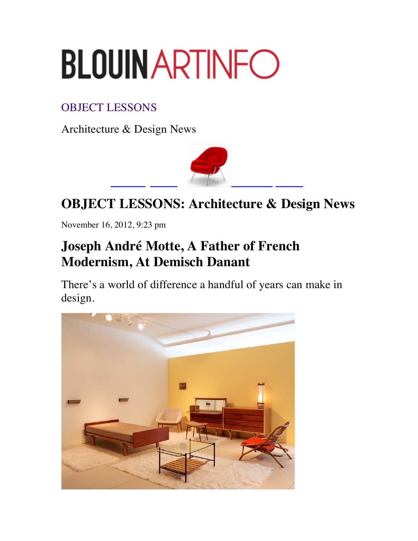## **BLOUINARTINFO**

## OBJECT LESSONS

Architecture & Design News



## **OBJECT LESSONS: Architecture & Design News**

November 16, 2012, 9:23 pm

## **Joseph André Motte, A Father of French Modernism, At Demisch Danant**

There's a world of difference a handful of years can make in design.

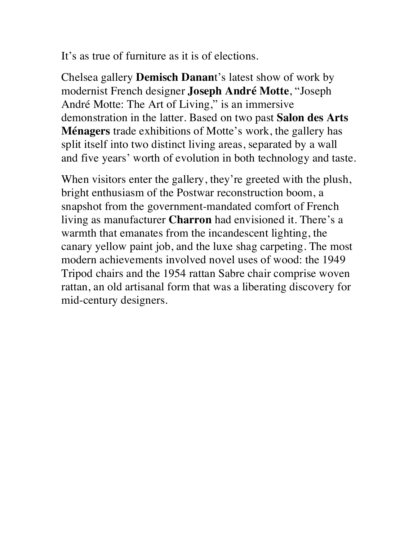It's as true of furniture as it is of elections.

Chelsea gallery **Demisch Danan**t's latest show of work by modernist French designer **Joseph André Motte**, "Joseph André Motte: The Art of Living," is an immersive demonstration in the latter. Based on two past **Salon des Arts Ménagers** trade exhibitions of Motte's work, the gallery has split itself into two distinct living areas, separated by a wall and five years' worth of evolution in both technology and taste.

When visitors enter the gallery, they're greeted with the plush, bright enthusiasm of the Postwar reconstruction boom, a snapshot from the government-mandated comfort of French living as manufacturer **Charron** had envisioned it. There's a warmth that emanates from the incandescent lighting, the canary yellow paint job, and the luxe shag carpeting. The most modern achievements involved novel uses of wood: the 1949 Tripod chairs and the 1954 rattan Sabre chair comprise woven rattan, an old artisanal form that was a liberating discovery for mid-century designers.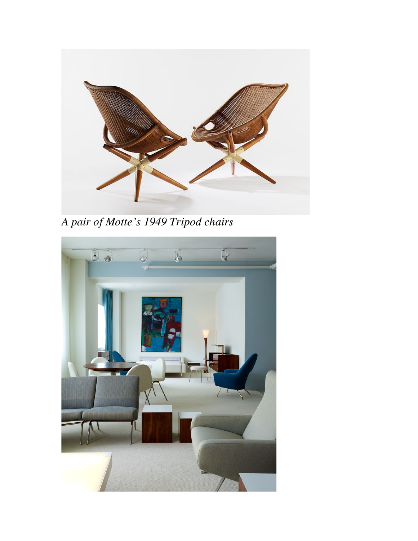

*A pair of Motte's 1949 Tripod chairs*